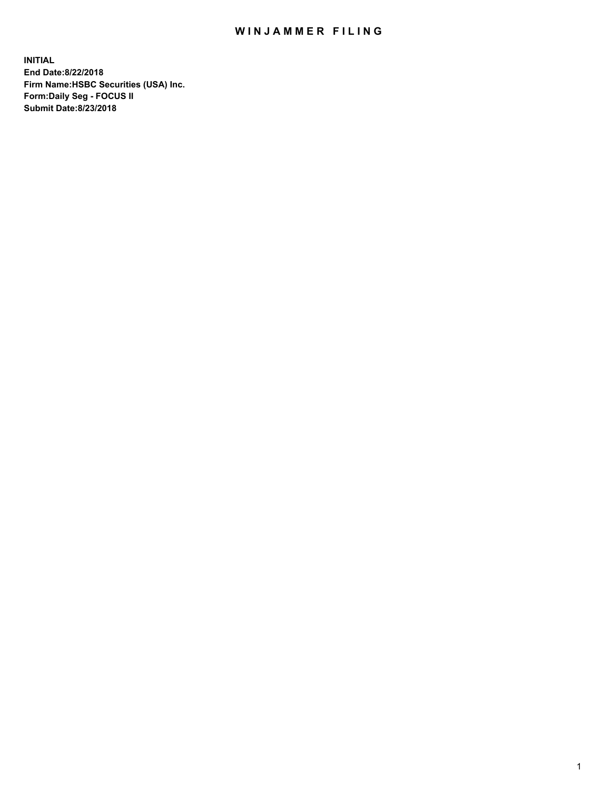## WIN JAMMER FILING

**INITIAL End Date:8/22/2018 Firm Name:HSBC Securities (USA) Inc. Form:Daily Seg - FOCUS II Submit Date:8/23/2018**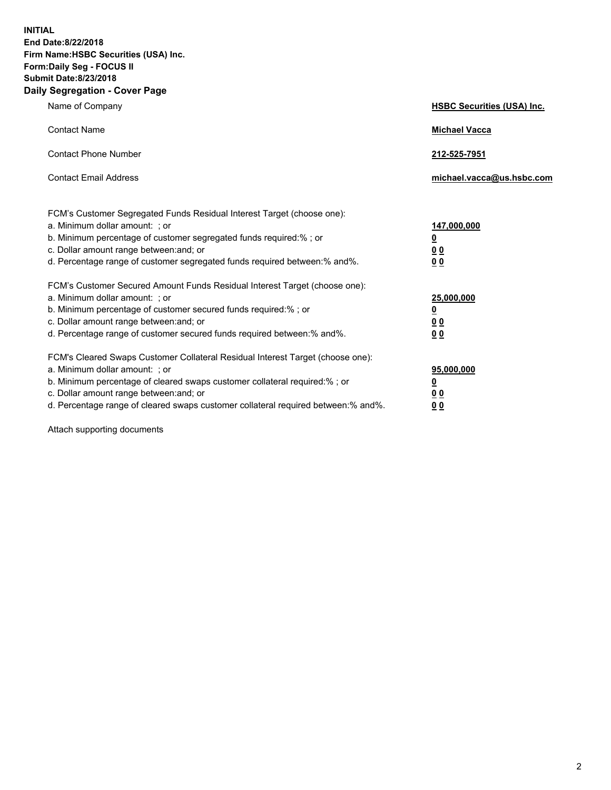**INITIAL End Date:8/22/2018 Firm Name:HSBC Securities (USA) Inc. Form:Daily Seg - FOCUS II Submit Date:8/23/2018 Daily Segregation - Cover Page**

| Name of Company                                                                                                                                                                                                                                                                                                                | <b>HSBC Securities (USA) Inc.</b>                                          |
|--------------------------------------------------------------------------------------------------------------------------------------------------------------------------------------------------------------------------------------------------------------------------------------------------------------------------------|----------------------------------------------------------------------------|
| <b>Contact Name</b>                                                                                                                                                                                                                                                                                                            | <b>Michael Vacca</b>                                                       |
| <b>Contact Phone Number</b>                                                                                                                                                                                                                                                                                                    | 212-525-7951                                                               |
| <b>Contact Email Address</b>                                                                                                                                                                                                                                                                                                   | michael.vacca@us.hsbc.com                                                  |
| FCM's Customer Segregated Funds Residual Interest Target (choose one):<br>a. Minimum dollar amount: : or<br>b. Minimum percentage of customer segregated funds required:% ; or<br>c. Dollar amount range between: and; or<br>d. Percentage range of customer segregated funds required between:% and%.                         | 147,000,000<br>$\overline{\mathbf{0}}$<br>0 <sub>0</sub><br>0 <sub>0</sub> |
| FCM's Customer Secured Amount Funds Residual Interest Target (choose one):<br>a. Minimum dollar amount: ; or<br>b. Minimum percentage of customer secured funds required:%; or<br>c. Dollar amount range between: and; or<br>d. Percentage range of customer secured funds required between:% and%.                            | 25,000,000<br><u>0</u><br>0 <sub>0</sub><br>00                             |
| FCM's Cleared Swaps Customer Collateral Residual Interest Target (choose one):<br>a. Minimum dollar amount: ; or<br>b. Minimum percentage of cleared swaps customer collateral required:% ; or<br>c. Dollar amount range between: and; or<br>d. Percentage range of cleared swaps customer collateral required between:% and%. | 95,000,000<br><u>0</u><br>00<br>0 <sub>0</sub>                             |

Attach supporting documents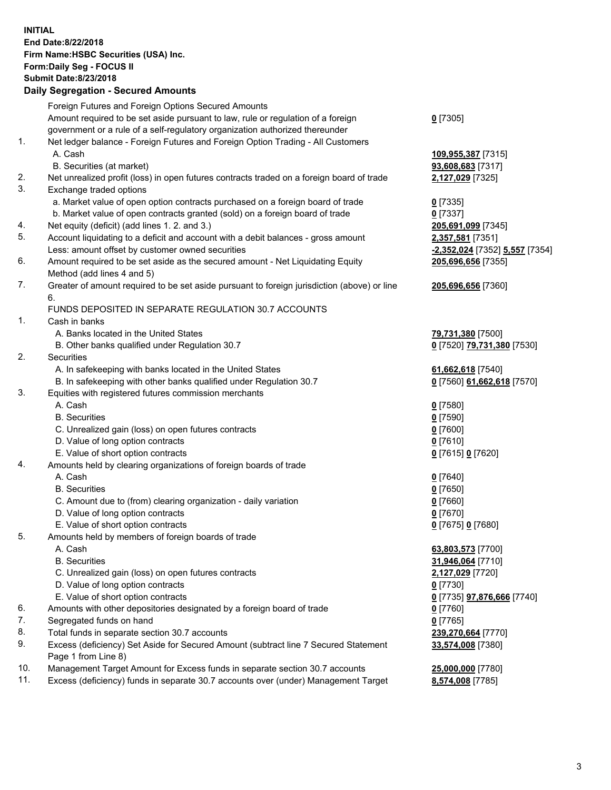**INITIAL End Date:8/22/2018 Firm Name:HSBC Securities (USA) Inc. Form:Daily Seg - FOCUS II Submit Date:8/23/2018 Daily Segregation - Secured Amounts**

Foreign Futures and Foreign Options Secured Amounts Amount required to be set aside pursuant to law, rule or regulation of a foreign government or a rule of a self-regulatory organization authorized thereunder **0** [7305] 1. Net ledger balance - Foreign Futures and Foreign Option Trading - All Customers A. Cash **109,955,387** [7315] B. Securities (at market) **93,608,683** [7317] 2. Net unrealized profit (loss) in open futures contracts traded on a foreign board of trade **2,127,029** [7325] 3. Exchange traded options a. Market value of open option contracts purchased on a foreign board of trade **0** [7335] b. Market value of open contracts granted (sold) on a foreign board of trade **0** [7337] 4. Net equity (deficit) (add lines 1. 2. and 3.) **205,691,099** [7345] 5. Account liquidating to a deficit and account with a debit balances - gross amount **2,357,581** [7351] Less: amount offset by customer owned securities **-2,352,024** [7352] **5,557** [7354] 6. Amount required to be set aside as the secured amount - Net Liquidating Equity Method (add lines 4 and 5) **205,696,656** [7355] 7. Greater of amount required to be set aside pursuant to foreign jurisdiction (above) or line 6. **205,696,656** [7360] FUNDS DEPOSITED IN SEPARATE REGULATION 30.7 ACCOUNTS 1. Cash in banks A. Banks located in the United States **79,731,380** [7500] B. Other banks qualified under Regulation 30.7 **0** [7520] **79,731,380** [7530] 2. Securities A. In safekeeping with banks located in the United States **61,662,618** [7540] B. In safekeeping with other banks qualified under Regulation 30.7 **0** [7560] **61,662,618** [7570] 3. Equities with registered futures commission merchants A. Cash **0** [7580] B. Securities **0** [7590] C. Unrealized gain (loss) on open futures contracts **0** [7600] D. Value of long option contracts **0** [7610] E. Value of short option contracts **0** [7615] **0** [7620] 4. Amounts held by clearing organizations of foreign boards of trade A. Cash **0** [7640] B. Securities **0** [7650] C. Amount due to (from) clearing organization - daily variation **0** [7660] D. Value of long option contracts **0** [7670] E. Value of short option contracts **0** [7675] **0** [7680] 5. Amounts held by members of foreign boards of trade A. Cash **63,803,573** [7700] B. Securities **31,946,064** [7710] C. Unrealized gain (loss) on open futures contracts **2,127,029** [7720] D. Value of long option contracts **0** [7730] E. Value of short option contracts **0** [7735] **97,876,666** [7740] 6. Amounts with other depositories designated by a foreign board of trade **0** [7760] 7. Segregated funds on hand **0** [7765] 8. Total funds in separate section 30.7 accounts **239,270,664** [7770] 9. Excess (deficiency) Set Aside for Secured Amount (subtract line 7 Secured Statement Page 1 from Line 8) **33,574,008** [7380] 10. Management Target Amount for Excess funds in separate section 30.7 accounts **25,000,000** [7780] 11. Excess (deficiency) funds in separate 30.7 accounts over (under) Management Target **8,574,008** [7785]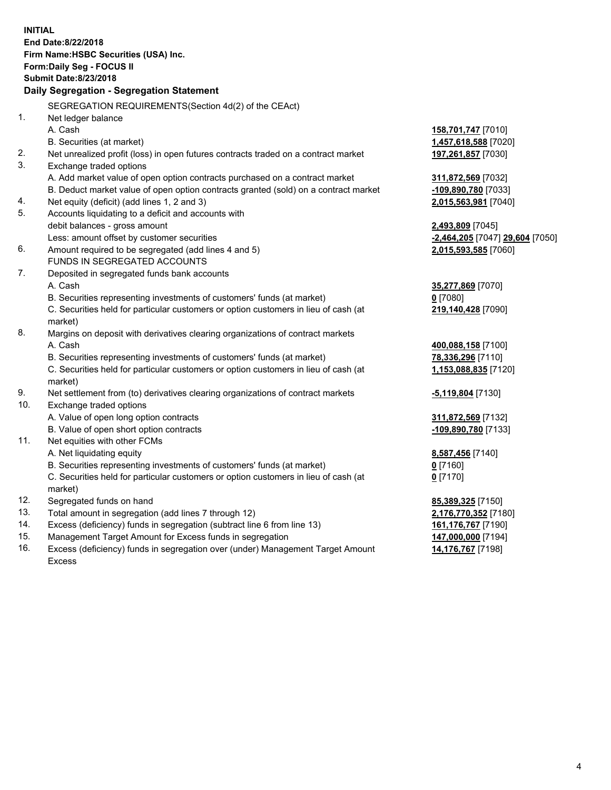**INITIAL End Date:8/22/2018 Firm Name:HSBC Securities (USA) Inc. Form:Daily Seg - FOCUS II Submit Date:8/23/2018 Daily Segregation - Segregation Statement** SEGREGATION REQUIREMENTS(Section 4d(2) of the CEAct) 1. Net ledger balance A. Cash **158,701,747** [7010] B. Securities (at market) **1,457,618,588** [7020] 2. Net unrealized profit (loss) in open futures contracts traded on a contract market **197,261,857** [7030] 3. Exchange traded options A. Add market value of open option contracts purchased on a contract market **311,872,569** [7032] B. Deduct market value of open option contracts granted (sold) on a contract market **-109,890,780** [7033] 4. Net equity (deficit) (add lines 1, 2 and 3) **2,015,563,981** [7040] 5. Accounts liquidating to a deficit and accounts with debit balances - gross amount **2,493,809** [7045] Less: amount offset by customer securities **-2,464,205** [7047] **29,604** [7050] 6. Amount required to be segregated (add lines 4 and 5) **2,015,593,585** [7060] FUNDS IN SEGREGATED ACCOUNTS 7. Deposited in segregated funds bank accounts A. Cash **35,277,869** [7070] B. Securities representing investments of customers' funds (at market) **0** [7080] C. Securities held for particular customers or option customers in lieu of cash (at market) **219,140,428** [7090] 8. Margins on deposit with derivatives clearing organizations of contract markets A. Cash **400,088,158** [7100] B. Securities representing investments of customers' funds (at market) **78,336,296** [7110] C. Securities held for particular customers or option customers in lieu of cash (at market) **1,153,088,835** [7120] 9. Net settlement from (to) derivatives clearing organizations of contract markets **-5,119,804** [7130] 10. Exchange traded options A. Value of open long option contracts **311,872,569** [7132] B. Value of open short option contracts **-109,890,780** [7133] 11. Net equities with other FCMs A. Net liquidating equity **8,587,456** [7140] B. Securities representing investments of customers' funds (at market) **0** [7160] C. Securities held for particular customers or option customers in lieu of cash (at market) **0** [7170] 12. Segregated funds on hand **85,389,325** [7150] 13. Total amount in segregation (add lines 7 through 12) **2,176,770,352** [7180] 14. Excess (deficiency) funds in segregation (subtract line 6 from line 13) **161,176,767** [7190] 15. Management Target Amount for Excess funds in segregation **147,000,000** [7194] 16. Excess (deficiency) funds in segregation over (under) Management Target Amount **14,176,767** [7198]

Excess